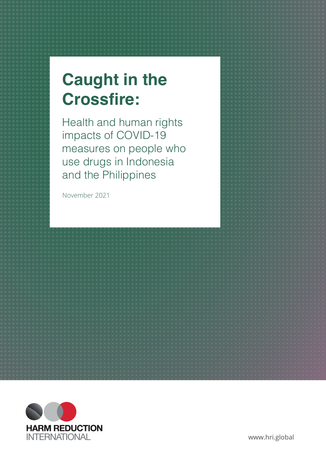# **Caught in the Crossfire:**

Health and human rights impacts of COVID-19 measures on people who use drugs in Indonesia and the Philippines

November 2021

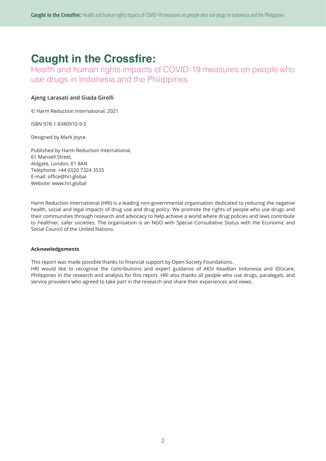## **Caught in the Crossfire:**

Health and human rights impacts of COVID-19 measures on people who use drugs in Indonesia and the Philippines

#### **Ajeng Larasati and Giada Girelli**

© Harm Reduction International, 2021

ISBN 978-1-8380910-9-5

Designed by Mark Joyce

Published by Harm Reduction International, 61 Mansell Street, Aldgate, London, E1 8AN Telephone: +44 (0)20 7324 3535 E-mail: office@hri.global Website: www.hri.global

Harm Reduction International (HRI) is a leading non-governmental organisation dedicated to reducing the negative health, social and legal impacts of drug use and drug policy. We promote the rights of people who use drugs and their communities through research and advocacy to help achieve a world where drug policies and laws contribute to healthier, safer societies. The organisation is an NGO with Special Consultative Status with the Economic and Social Council of the United Nations.

#### **Acknowledgements**

This report was made possible thanks to financial support by Open Society Foundations.

HRI would like to recognise the contributions and expert guidance of AKSI Keadilan Indonesia and IDUcare, Philippines in the research and analysis for this report. HRI also thanks all people who use drugs, paralegals, and service providers who agreed to take part in the research and share their experiences and views.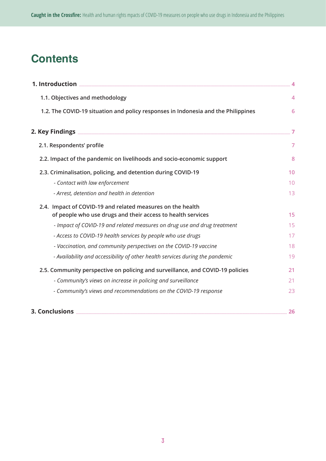## **Contents**

| 1. Introduction                                                                   | 4              |
|-----------------------------------------------------------------------------------|----------------|
| 1.1. Objectives and methodology                                                   | 4              |
| 1.2. The COVID-19 situation and policy responses in Indonesia and the Philippines | 6              |
| 2. Key Findings                                                                   | $\overline{7}$ |
| 2.1. Respondents' profile                                                         | $\overline{7}$ |
| 2.2. Impact of the pandemic on livelihoods and socio-economic support             | 8              |
| 2.3. Criminalisation, policing, and detention during COVID-19                     | 10             |
| - Contact with law enforcement                                                    | 10             |
| - Arrest, detention and health in detention                                       | 13             |
| 2.4. Impact of COVID-19 and related measures on the health                        |                |
| of people who use drugs and their access to health services                       | 15             |
| - Impact of COVID-19 and related measures on drug use and drug treatment          | 15             |
| - Access to COVID-19 health services by people who use drugs                      | 17             |
| - Vaccination, and community perspectives on the COVID-19 vaccine                 | 18             |
| - Availability and accessibility of other health services during the pandemic     | 19             |
| 2.5. Community perspective on policing and surveillance, and COVID-19 policies    | 21             |
| - Community's views on increase in policing and surveillance                      | 21             |
| - Community's views and recommendations on the COVID-19 response                  | 23             |
| 3. Conclusions                                                                    | 26             |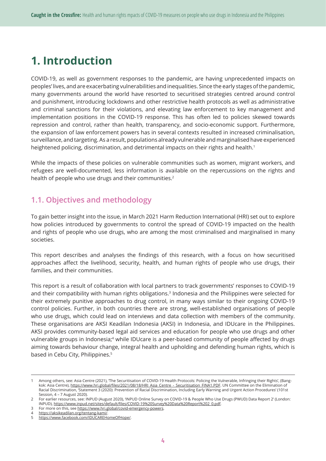## **1. Introduction**

COVID-19, as well as government responses to the pandemic, are having unprecedented impacts on peoples' lives, and are exacerbating vulnerabilities and inequalities. Since the early stages of the pandemic, many governments around the world have resorted to securitised strategies centred around control and punishment, introducing lockdowns and other restrictive health protocols as well as administrative and criminal sanctions for their violations, and elevating law enforcement to key management and implementation positions in the COVID-19 response. This has often led to policies skewed towards repression and control, rather than health, transparency, and socio-economic support. Furthermore, the expansion of law enforcement powers has in several contexts resulted in increased criminalisation, surveillance, and targeting. As a result, populations already vulnerable and marginalised have experienced heightened policing, discrimination, and detrimental impacts on their rights and health.<sup>1</sup>

While the impacts of these policies on vulnerable communities such as women, migrant workers, and refugees are well-documented, less information is available on the repercussions on the rights and health of people who use drugs and their communities.<sup>2</sup>

## **1.1. Objectives and methodology**

To gain better insight into the issue, in March 2021 Harm Reduction International (HRI) set out to explore how policies introduced by governments to control the spread of COVID-19 impacted on the health and rights of people who use drugs, who are among the most criminalised and marginalised in many societies.

This report describes and analyses the findings of this research, with a focus on how securitised approaches affect the livelihood, security, health, and human rights of people who use drugs, their families, and their communities.

This report is a result of collaboration with local partners to track governments' responses to COVID-19 and their compatibility with human rights obligations.<sup>3</sup> Indonesia and the Philippines were selected for their extremely punitive approaches to drug control, in many ways similar to their ongoing COVID-19 control policies. Further, in both countries there are strong, well-established organisations of people who use drugs, which could lead on interviews and data collection with members of the community. These organisations are AKSI Keadilan Indonesia (AKSI) in Indonesia, and IDUcare in the Philippines. AKSI provides community-based legal aid services and education for people who use drugs and other vulnerable groups in Indonesia;<sup>4</sup> while IDUcare is a peer-based community of people affected by drugs aiming towards behaviour change, integral health and upholding and defending human rights, which is based in Cebu City, Philippines.5

3 For more on this, see https://www.hri.global/covid-emergency-powers.

<sup>1</sup> Among others, see: Asia Centre (2021), 'The Securitisation of COVID-19 Health Protocols: Policing the Vulnerable, Infringing their Rights', (Bangkok: Asia Centre), https://www.hri.global/files/2021/08/18/HRI\_Asia\_Centre\_-\_Securitisation\_FINA1.PDF. UN Committee on the Elimination of Racial Discrimination, 'Statement 3 (2020): Prevention of Racial Discrimination, Including Early Warning and Urgent Action Procedures' (101st Session, 4 – 7 August 2020).

<sup>2</sup> For earlier resources, see: INPUD (August 2020), 'INPUD Online Survey on COVID-19 & People Who Use Drugs (PWUD) Data Report 2' (London: INPUD), https://www.inpud.net/sites/default/files/COVID-19%20Survey%20Data%20Report%202\_0.pdf.

https://aksikeadilan.org/tentang-kami/.

<sup>5</sup> https://www.facebook.com/IDUCAREHomeOfHope/.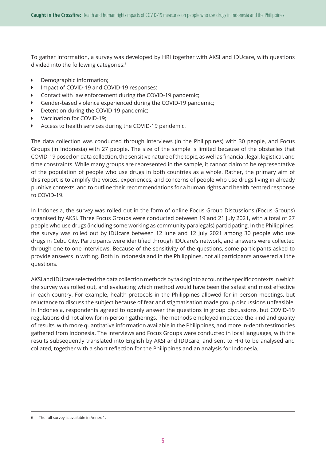To gather information, a survey was developed by HRI together with AKSI and IDUcare, with questions divided into the following categories:6

- **Demographic information;**
- **IMPACT OF COVID-19 and COVID-19 responses;**
- $\triangleright$  Contact with law enforcement during the COVID-19 pandemic;
- **EXEC** Gender-based violence experienced during the COVID-19 pandemic;
- Detention during the COVID-19 pandemic;
- Vaccination for COVID-19:
- **EXECO Access to health services during the COVID-19 pandemic.**

The data collection was conducted through interviews (in the Philippines) with 30 people, and Focus Groups (in Indonesia) with 27 people. The size of the sample is limited because of the obstacles that COVID-19 posed on data collection, the sensitive nature of the topic, as well as financial, legal, logistical, and time constraints. While many groups are represented in the sample, it cannot claim to be representative of the population of people who use drugs in both countries as a whole. Rather, the primary aim of this report is to amplify the voices, experiences, and concerns of people who use drugs living in already punitive contexts, and to outline their recommendations for a human rights and health centred response to COVID-19.

In Indonesia, the survey was rolled out in the form of online Focus Group Discussions (Focus Groups) organised by AKSI. Three Focus Groups were conducted between 19 and 21 July 2021, with a total of 27 people who use drugs (including some working as community paralegals) participating. In the Philippines, the survey was rolled out by IDUcare between 12 June and 12 July 2021 among 30 people who use drugs in Cebu City. Participants were identified through IDUcare's network, and answers were collected through one-to-one interviews. Because of the sensitivity of the questions, some participants asked to provide answers in writing. Both in Indonesia and in the Philippines, not all participants answered all the questions.

AKSI and IDUcare selected the data collection methods by taking into account the specific contexts in which the survey was rolled out, and evaluating which method would have been the safest and most effective in each country. For example, health protocols in the Philippines allowed for in-person meetings, but reluctance to discuss the subject because of fear and stigmatisation made group discussions unfeasible. In Indonesia, respondents agreed to openly answer the questions in group discussions, but COVID-19 regulations did not allow for in-person gatherings. The methods employed impacted the kind and quality of results, with more quantitative information available in the Philippines, and more in-depth testimonies gathered from Indonesia. The interviews and Focus Groups were conducted in local languages, with the results subsequently translated into English by AKSI and IDUcare, and sent to HRI to be analysed and collated, together with a short reflection for the Philippines and an analysis for Indonesia.

The full survey is available in Annex 1.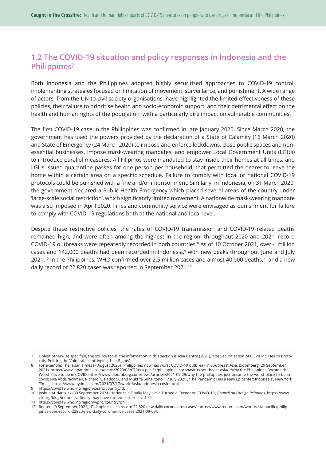## **1.2 The COVID-19 situation and policy responses in Indonesia and the Philippines7**

Both Indonesia and the Philippines adopted highly securitised approaches to COVID-19 control, implementing strategies focused on limitation of movement, surveillance, and punishment. A wide range of actors, from the UN to civil society organisations, have highlighted the limited effectiveness of these policies, their failure to prioritise health and socio-economic support, and their detrimental effect on the health and human rights of the population; with a particularly dire impact on vulnerable communities.

The first COVID-19 case in the Philippines was confirmed in late January 2020. Since March 2020, the government has used the powers provided by the declaration of a State of Calamity (16 March 2020) and State of Emergency (24 March 2020) to impose and enforce lockdowns, close public spaces and nonessential businesses, impose mask-wearing mandates, and empower Local Government Units (LGUs) to introduce parallel measures. All Filipinos were mandated to stay inside their homes at all times, and LGUs issued quarantine passes for one person per household, that permitted the bearer to leave the home within a certain area on a specific schedule. Failure to comply with local or national COVID-19 protocols could be punished with a fine and/or imprisonment. Similarly, in Indonesia, on 31 March 2020, the government declared a Public Health Emergency which placed several areas of the country under 'large-scale social restriction', which significantly limited movement. A nationwide mask-wearing mandate was also imposed in April 2020. Fines and community service were envisaged as punishment for failure to comply with COVID-19 regulations both at the national and local level.

Despite these restrictive policies, the rates of COVID-19 transmission and COVID-19 related deaths remained high, and were often among the highest in the region: throughout 2020 and 2021, record COVID-19 outbreaks were repeatedly recorded in both countries.<sup>8</sup> As of 10 October 2021, over 4 million cases and 142,000 deaths had been recorded in Indonesia,<sup>9</sup> with new peaks throughout June and July 2021.10 In the Philippines, WHO confirmed over 2.5 million cases and almost 40,000 deaths,11 and a new daily record of 22,820 cases was reported in September 2021.12

<sup>7</sup> Unless otherwise specified, the source for all the information in this section is Asia Centre (2021), 'The Securitisation of COVID-19 Health Protocols: Policing the Vulnerable, Infringing their Rights'.

<sup>8</sup> For example: The Japan Times (7 August 2020), 'Philippines now has worst COVID-19 outbreak in Southeast Asia, Bloomberg (29 September 2021), https://www.japantimes.co.jp/news/2020/08/07/asia-pacific/philippines-coronavirus-southeast-asia/; 'Why the Philippines Became the Worst Place to be in COVID',https://www.bloomberg.com/news/articles/2021-09-29/why-the-philippines-just-became-the-worst-place-to-be-incovid; Fira Abdurachman, Richard C. Paddock, and Muktita Suhartono (17 July 2021), 'The Pandemic Has a New Epicenter: Indonesia', New York Times, https://www.nytimes.com/2021/07/17/world/asia/indonesia-covid.html.

<sup>9</sup> https://covid19.who.int/region/searo/country/id.

<sup>10</sup> Joshua Kurlantzick (30 September 2021), 'Indonesia Finally May Have Turned a Corner on COVID-19', *Council on Foreign Relations*, https://www. cfr.org/blog/indonesia-finally-may-have-turned-corner-covid-19.

<sup>11</sup> https://covid19.who.int/region/wpro/country/ph.

<sup>12</sup> Reuters (9 September 2021), 'Philippines sees record 22,820 new daily coronavirus cases', https://www.reuters.com/world/asia-pacific/philippines-sees-record-22820-new-daily-coronavirus-cases-2021-09-09/.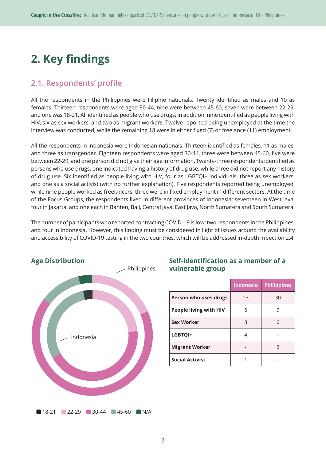## **2. Key findings**

## **2.1. Respondents' profile**

All the respondents in the Philippines were Filipino nationals. Twenty identified as males and 10 as females. Thirteen respondents were aged 30-44, nine were between 45-60, seven were between 22-29, and one was 18-21. All identified as people who use drugs; in addition, nine identified as people living with HIV, six as sex workers, and two as migrant workers. Twelve reported being unemployed at the time the interview was conducted, while the remaining 18 were in either fixed (7) or freelance (11) employment.

All the respondents in Indonesia were Indonesian nationals. Thirteen identified as females, 11 as males, and three as transgender. Eighteen respondents were aged 30-44, three were between 45-60, five were between 22-29, and one person did not give their age information. Twenty-three respondents identified as persons who use drugs, one indicated having a history of drug use, while three did not report any history of drug use. Six identified as people living with HIV, four as LGBTQI+ individuals, three as sex workers, and one as a social activist (with no further explanation). Five respondents reported being unemployed, while nine people worked as freelancers; three were in fixed employment in different sectors. At the time of the Focus Groups, the respondents lived in different provinces of Indonesia: seventeen in West Java, four in Jakarta, and one each in Banten, Bali, Central Java, East Java, North Sumatera and South Sumatera.

The number of participants who reported contracting COVID-19 is low: two respondents in the Philippines, and four in Indonesia. However, this finding must be considered in light of issues around the availability and accessibility of COVID-19 testing in the two countries, which will be addressed in-depth in section 2.4.



## **Self-identification as a member of a vulnerable group**

|                               | <b>Indonesia</b> | <b>Philippines</b> |
|-------------------------------|------------------|--------------------|
| Person who uses drugs         | 23               | 30                 |
| <b>People living with HIV</b> | 6                | q                  |
| <b>Sex Worker</b>             | 3                | 6                  |
| LGBTQI+                       | 4                |                    |
| <b>Migrant Worker</b>         |                  | $\mathcal{P}$      |
| <b>Social Activist</b>        |                  |                    |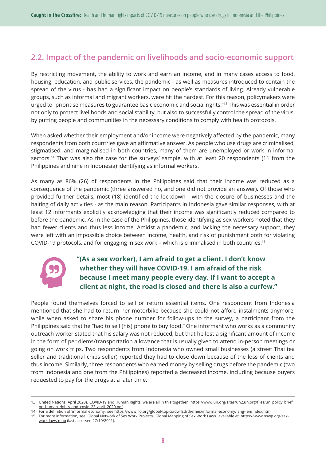## **2.2. Impact of the pandemic on livelihoods and socio-economic support**

By restricting movement, the ability to work and earn an income, and in many cases access to food, housing, education, and public services, the pandemic - as well as measures introduced to contain the spread of the virus - has had a significant impact on people's standards of living. Already vulnerable groups, such as informal and migrant workers, were hit the hardest. For this reason, policymakers were urged to "prioritise measures to guarantee basic economic and social rights."<sup>13</sup> This was essential in order not only to protect livelihoods and social stability, but also to successfully control the spread of the virus, by putting people and communities in the necessary conditions to comply with health protocols.

When asked whether their employment and/or income were negatively affected by the pandemic, many respondents from both countries gave an affirmative answer. As people who use drugs are criminalised, stigmatised, and marginalised in both countries, many of them are unemployed or work in informal sectors.<sup>14</sup> That was also the case for the surveys' sample, with at least 20 respondents (11 from the Philippines and nine in Indonesia) identifying as informal workers.

As many as 86% (26) of respondents in the Philippines said that their income was reduced as a consequence of the pandemic (three answered no, and one did not provide an answer). Of those who provided further details, most (18) identified the lockdown - with the closure of businesses and the halting of daily activities - as the main reason. Participants in Indonesia gave similar responses, with at least 12 informants explicitly acknowledging that their income was significantly reduced compared to before the pandemic. As in the case of the Philippines, those identifying as sex workers noted that they had fewer clients and thus less income. Amidst a pandemic, and lacking the necessary support, they were left with an impossible choice between income, health, and risk of punishment both for violating COVID-19 protocols, and for engaging in sex work – which is criminalised in both countries:15



## **"(As a sex worker), I am afraid to get a client. I don't know whether they will have COVID-19. I am afraid of the risk because I meet many people every day. If I want to accept a client at night, the road is closed and there is also a curfew."**

People found themselves forced to sell or return essential items. One respondent from Indonesia mentioned that she had to return her motorbike because she could not afford instalments anymore; while when asked to share his phone number for follow-ups to the survey, a participant from the Philippines said that he "had to sell [his] phone to buy food." One informant who works as a community outreach worker stated that his salary was not reduced, but that he lost a significant amount of income in the form of per diems/transportation allowance that is usually given to attend in-person meetings or going on work trips. Two respondents from Indonesia who owned small businesses (a street Thai tea seller and traditional chips seller) reported they had to close down because of the loss of clients and thus income. Similarly, three respondents who earned money by selling drugs before the pandemic (two from Indonesia and one from the Philippines) reported a decreased income, including because buyers requested to pay for the drugs at a later time.

14 For a definition of 'informal economy', see https://www.ilo.org/global/topics/dw4sd/themes/informal-economy/lang--en/index.htm. 15 For more information, see: Global Network of Sex Work Projects, 'Global Mapping of Sex Work Laws', available at: https://www.nswp.org/sex-

<sup>13</sup> United Nations (April 2020), 'COVID-19 and Human Rights: we are all in this together', https://www.un.org/sites/un2.un.org/files/un\_policy\_brief\_ on\_human\_rights\_and\_covid\_23\_april\_2020.pdf.

work-laws-map (last accessed 27/10/2021).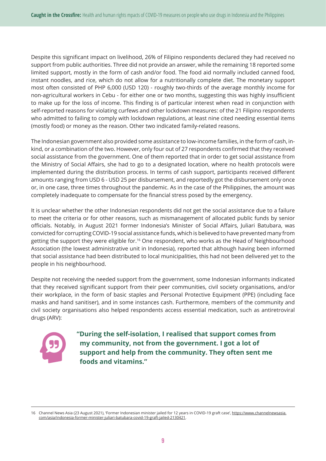Despite this significant impact on livelihood, 26% of Filipino respondents declared they had received no support from public authorities. Three did not provide an answer, while the remaining 18 reported some limited support, mostly in the form of cash and/or food. The food aid normally included canned food, instant noodles, and rice, which do not allow for a nutritionally complete diet. The monetary support most often consisted of PHP 6,000 (USD 120) - roughly two-thirds of the average monthly income for non-agricultural workers in Cebu - for either one or two months, suggesting this was highly insufficient to make up for the loss of income. This finding is of particular interest when read in conjunction with self-reported reasons for violating curfews and other lockdown measures: of the 21 Filipino respondents who admitted to failing to comply with lockdown regulations, at least nine cited needing essential items (mostly food) or money as the reason. Other two indicated family-related reasons.

The Indonesian government also provided some assistance to low-income families, in the form of cash, inkind, or a combination of the two. However, only four out of 27 respondents confirmed that they received social assistance from the government. One of them reported that in order to get social assistance from the Ministry of Social Affairs, she had to go to a designated location, where no health protocols were implemented during the distribution process. In terms of cash support, participants received different amounts ranging from USD 6 - USD 25 per disbursement, and reportedly got the disbursement only once or, in one case, three times throughout the pandemic. As in the case of the Philippines, the amount was completely inadequate to compensate for the financial stress posed by the emergency.

It is unclear whether the other Indonesian respondents did not get the social assistance due to a failure to meet the criteria or for other reasons, such as mismanagement of allocated public funds by senior officials. Notably, in August 2021 former Indonesia's Minister of Social Affairs, Juliari Batubara, was convicted for corrupting COVID-19 social assistance funds, which is believed to have prevented many from getting the support they were eligible for.16 One respondent, who works as the Head of Neighbourhood Association (the lowest administrative unit in Indonesia), reported that although having been informed that social assistance had been distributed to local municipalities, this had not been delivered yet to the people in his neighbourhood.

Despite not receiving the needed support from the government, some Indonesian informants indicated that they received significant support from their peer communities, civil society organisations, and/or their workplace, in the form of basic staples and Personal Protective Equipment (PPE) (including face masks and hand sanitiser), and in some instances cash. Furthermore, members of the community and civil society organisations also helped respondents access essential medication, such as antiretroviral drugs (ARV):



**"During the self-isolation, I realised that support comes from my community, not from the government. I got a lot of support and help from the community. They often sent me foods and vitamins."**

<sup>16</sup> Channel News Asia (23 August 2021), 'Former Indonesian minister jailed for 12 years in COVID-19 graft case', https://www.channelnewsasia. com/asia/indonesia-former-minister-juliari-batubara-covid-19-graft-jailed-2130421.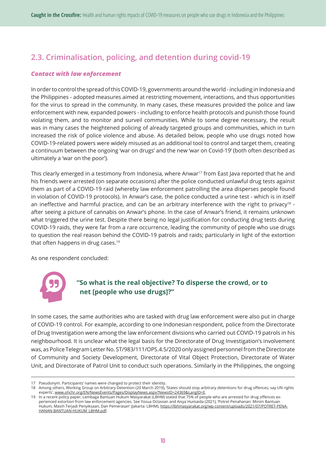## **2.3. Criminalisation, policing, and detention during covid-19**

#### *Contact with law enforcement*

In order to control the spread of this COVID-19, governments around the world - including in Indonesia and the Philippines - adopted measures aimed at restricting movement, interactions, and thus opportunities for the virus to spread in the community. In many cases, these measures provided the police and law enforcement with new, expanded powers - including to enforce health protocols and punish those found violating them, and to monitor and surveil communities. While to some degree necessary, the result was in many cases the heightened policing of already targeted groups and communities, which in turn increased the risk of police violence and abuse. As detailed below, people who use drugs noted how COVID-19-related powers were widely misused as an additional tool to control and target them, creating a continuum between the ongoing 'war on drugs' and the new 'war on Covid-19' (both often described as ultimately a 'war on the poor').

This clearly emerged in a testimony from Indonesia, where Anwar<sup>17</sup> from East Java reported that he and his friends were arrested (on separate occasions) after the police conducted unlawful drug tests against them as part of a COVID-19 raid (whereby law enforcement patrolling the area disperses people found in violation of COVID-19 protocols). In Anwar's case, the police conducted a urine test - which is in itself an ineffective and harmful practice, and can be an arbitrary interference with the right to privacy<sup>18</sup> after seeing a picture of cannabis on Anwar's phone. In the case of Anwar's friend, it remains unknown what triggered the urine test. Despite there being no legal justification for conducting drug tests during COVID-19 raids, they were far from a rare occurrence, leading the community of people who use drugs to question the real reason behind the COVID-19 patrols and raids; particularly in light of the extortion that often happens in drug cases.19

As one respondent concluded:



## **"So what is the real objective? To disperse the crowd, or to net [people who use drugs]?"**

In some cases, the same authorities who are tasked with drug law enforcement were also put in charge of COVID-19 control. For example, according to one Indonesian respondent, police from the Directorate of Drug Investigation were among the law enforcement divisions who carried out COVID-19 patrols in his neighbourhood. It is unclear what the legal basis for the Directorate of Drug Investigation's involvement was, as Police Telegram Letter No. ST/983/111/OPS.4.5/2020 only assigned personnel from the Directorate of Community and Society Development, Directorate of Vital Object Protection, Directorate of Water Unit, and Directorate of Patrol Unit to conduct such operations. Similarly in the Philippines, the ongoing

<sup>17</sup> Pseudonym. Participants' names were changed to protect their identity.

<sup>18</sup> Among others, Working Group on Arbitrary Detention (20 March 2019), 'States should stop arbitrary detentions for drug offences, say UN rights experts', www.ohchr.org/EN/NewsEvents/Pages/DisplayNews.aspx?NewsID=24369&LangID=E.

<sup>19</sup> In a recent policy paper, Lembaga Bantuan Hukum Masyarakat (LBHM) stated that 75% of people who are arrested for drug offences experienced extortion from law enforcement agencies. See Yosua Octavian and Aisya Humaida (2021), 'Potret Penahanan: Minim Bantuan Hukum, Masih Terjadi Penyiksaan, Dan Pemerasan' (Jakarta: LBHM), https://lbhmasyarakat.org/wp-content/uploads/2021/07/POTRET-PENA-HANAN-BANTUAN-HUKUM\_LBHM.pdf.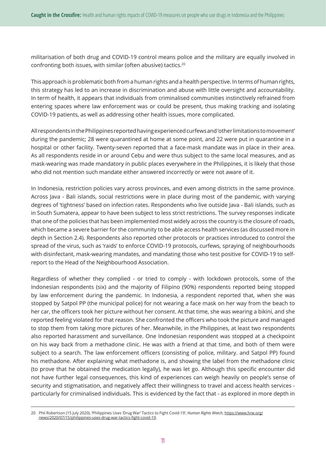militarisation of both drug and COVID-19 control means police and the military are equally involved in confronting both issues, with similar (often abusive) tactics.20

This approach is problematic both from a human rights and a health perspective. In terms of human rights, this strategy has led to an increase in discrimination and abuse with little oversight and accountability. In term of health, it appears that individuals from criminalised communities instinctively refrained from entering spaces where law enforcement was or could be present, thus making tracking and isolating COVID-19 patients, as well as addressing other health issues, more complicated.

All respondents in the Philippines reported having experienced curfews and 'other limitations to movement' during the pandemic; 28 were quarantined at home at some point, and 22 were put in quarantine in a hospital or other facility. Twenty-seven reported that a face-mask mandate was in place in their area. As all respondents reside in or around Cebu and were thus subject to the same local measures, and as mask-wearing was made mandatory in public places everywhere in the Philippines, it is likely that those who did not mention such mandate either answered incorrectly or were not aware of it.

In Indonesia, restriction policies vary across provinces, and even among districts in the same province. Across Java - Bali islands, social restrictions were in place during most of the pandemic, with varying degrees of 'tightness' based on infection rates. Respondents who live outside Java - Bali islands, such as in South Sumatera, appear to have been subject to less strict restrictions. The survey responses indicate that one of the policies that has been implemented most widely across the country is the closure of roads, which became a severe barrier for the community to be able access health services (as discussed more in depth in Section 2.4). Respondents also reported other protocols or practices introduced to control the spread of the virus, such as 'raids' to enforce COVID-19 protocols, curfews, spraying of neighbourhoods with disinfectant, mask-wearing mandates, and mandating those who test positive for COVID-19 to selfreport to the Head of the Neighbourhood Association.

Regardless of whether they complied - or tried to comply - with lockdown protocols, some of the Indonesian respondents (six) and the majority of Filipino (90%) respondents reported being stopped by law enforcement during the pandemic. In Indonesia, a respondent reported that, when she was stopped by Satpol PP (the municipal police) for not wearing a face mask on her way from the beach to her car, the officers took her picture without her consent. At that time, she was wearing a bikini, and she reported feeling violated for that reason. She confronted the officers who took the picture and managed to stop them from taking more pictures of her. Meanwhile, in the Philippines, at least two respondents also reported harassment and surveillance. One Indonesian respondent was stopped at a checkpoint on his way back from a methadone clinic. He was with a friend at that time, and both of them were subject to a search. The law enforcement officers (consisting of police, military. and Satpol PP) found his methadone. After explaining what methadone is, and showing the label from the methadone clinic (to prove that he obtained the medication legally), he was let go. Although this specific encounter did not have further legal consequences, this kind of experiences can weigh heavily on people's sense of security and stigmatisation, and negatively affect their willingness to travel and access health services particularly for criminalised individuals. This is evidenced by the fact that - as explored in more depth in

<sup>20</sup> Phil Robertson (15 July 2020), 'Philippines Uses 'Drug War' Tactics to Fight Covid-19', *Human Rights Watch*, https://www.hrw.org/ news/2020/07/15/philippines-uses-drug-war-tactics-fight-covid-19.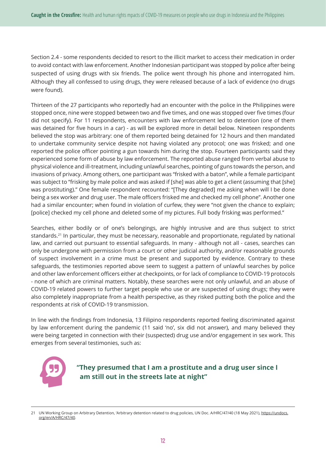Section 2.4 - some respondents decided to resort to the illicit market to access their medication in order to avoid contact with law enforcement. Another Indonesian participant was stopped by police after being suspected of using drugs with six friends. The police went through his phone and interrogated him. Although they all confessed to using drugs, they were released because of a lack of evidence (no drugs were found).

Thirteen of the 27 participants who reportedly had an encounter with the police in the Philippines were stopped once, nine were stopped between two and five times, and one was stopped over five times (four did not specify). For 11 respondents, encounters with law enforcement led to detention (one of them was detained for five hours in a car) - as will be explored more in detail below. Nineteen respondents believed the stop was arbitrary: one of them reported being detained for 12 hours and then mandated to undertake community service despite not having violated any protocol; one was frisked; and one reported the police officer pointing a gun towards him during the stop. Fourteen participants said they experienced some form of abuse by law enforcement. The reported abuse ranged from verbal abuse to physical violence and ill-treatment, including unlawful searches, pointing of guns towards the person, and invasions of privacy. Among others, one participant was "frisked with a baton", while a female participant was subject to "frisking by male police and was asked if [she] was able to get a client (assuming that [she] was prostituting)." One female respondent recounted: "[They degraded] me asking when will I be done being a sex worker and drug user. The male officers frisked me and checked my cell phone". Another one had a similar encounter; when found in violation of curfew, they were "not given the chance to explain; [police] checked my cell phone and deleted some of my pictures. Full body frisking was performed."

Searches, either bodily or of one's belongings, are highly intrusive and are thus subject to strict standards.21 In particular, they must be necessary, reasonable and proportionate, regulated by national law, and carried out pursuant to essential safeguards. In many - although not all - cases, searches can only be undergone with permission from a court or other judicial authority, and/or reasonable grounds of suspect involvement in a crime must be present and supported by evidence. Contrary to these safeguards, the testimonies reported above seem to suggest a pattern of unlawful searches by police and other law enforcement officers either at checkpoints, or for lack of compliance to COVID-19 protocols - none of which are criminal matters. Notably, these searches were not only unlawful, and an abuse of COVID-19 related powers to further target people who use or are suspected of using drugs; they were also completely inappropriate from a health perspective, as they risked putting both the police and the respondents at risk of COVID-19 transmission.

In line with the findings from Indonesia, 13 Filipino respondents reported feeling discriminated against by law enforcement during the pandemic (11 said 'no', six did not answer), and many believed they were being targeted in connection with their (suspected) drug use and/or engagement in sex work. This emerges from several testimonies, such as:



**"They presumed that I am a prostitute and a drug user since I am still out in the streets late at night"**

<sup>21</sup> UN Working Group on Arbitrary Detention, 'Arbitrary detention related to drug policies, UN Doc. A/HRC/47/40 (18 May 2021), https://undocs. org/en/A/HRC/47/40.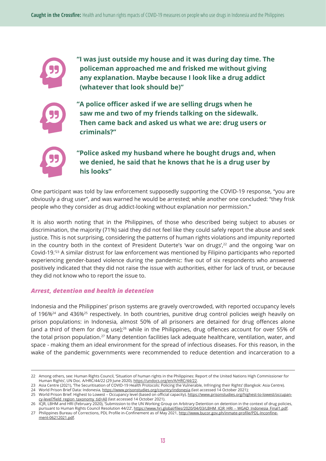**"I was just outside my house and it was during day time. The policeman approached me and frisked me without giving any explanation. Maybe because I look like a drug addict (whatever that look should be)"**



**"A police officer asked if we are selling drugs when he saw me and two of my friends talking on the sidewalk. Then came back and asked us what we are: drug users or criminals?"**



## **"Police asked my husband where he bought drugs and, when we denied, he said that he knows that he is a drug user by his looks"**

One participant was told by law enforcement supposedly supporting the COVID-19 response, "you are obviously a drug user", and was warned he would be arrested; while another one concluded: "they frisk people who they consider as drug addict-looking without explanation nor permission."

It is also worth noting that in the Philippines, of those who described being subject to abuses or discrimination, the majority (71%) said they did not feel like they could safely report the abuse and seek justice. This is not surprising, considering the patterns of human rights violations and impunity reported in the country both in the context of President Duterte's 'war on drugs', $22$  and the ongoing 'war on Covid-19.'23 A similar distrust for law enforcement was mentioned by Filipino participants who reported experiencing gender-based violence during the pandemic: five out of six respondents who answered positively indicated that they did not raise the issue with authorities, either for lack of trust, or because they did not know who to report the issue to.

## *Arrest, detention and health in detention*

Indonesia and the Philippines' prison systems are gravely overcrowded, with reported occupancy levels of 196%<sup>24</sup> and 436%<sup>25</sup> respectively. In both countries, punitive drug control policies weigh heavily on prison populations: in Indonesia, almost 50% of all prisoners are detained for drug offences alone (and a third of them for drug use);26 while in the Philippines, drug offences account for over 55% of the total prison population.<sup>27</sup> Many detention facilities lack adequate healthcare, ventilation, water, and space - making them an ideal environment for the spread of infectious diseases. For this reason, in the wake of the pandemic governments were recommended to reduce detention and incarceration to a

27 Philippines Bureau of Corrections, PDL Profile in-Confinement as of May 2021, http://www.bucor.gov.ph/inmate-profile/PDL-Inconfinement-06212021.pdf.

<sup>22</sup> Among others, see: Human Rights Council, 'Situation of human rights in the Philippines: Report of the United Nations High Commissioner for Human Rights', UN Doc. A/HRC/44/22 (29 June 2020), https://undocs.org/en/A/HRC/44/22.

<sup>23</sup> Asia Centre (2021), 'The Securitisation of COVID-19 Health Protocols: Policing the Vulnerable, Infringing their Rights' (Bangkok: Asia Centre).

<sup>24</sup> World Prison Brief Data: Indonesia, https://www.prisonstudies.org/country/indonesia (last accessed 14 October 2021);

<sup>25</sup> World Prison Brief: Highest to Lowest – Occupancy level (based on official capacity), https://www.prisonstudies.org/highest-to-lowest/occupancy-level?field\_region\_taxonomy\_tid=All (last accessed 14 October 2021).

<sup>26</sup> ICJR, LBHM and HRI (February 2020), 'Submission to the UN Working Group on Arbitrary Detention on detention in the context of drug policies, pursuant to Human Rights Council Resolution 44/22', https://www.hri.global/files/2020/04/03/LBHM\_ICJR\_HRI\_-\_WGAD\_Indonesia\_Final1.pdf.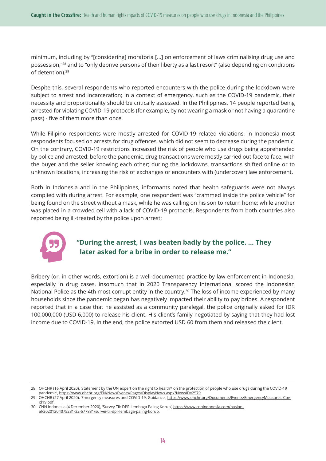minimum, including by "[considering] moratoria [...] on enforcement of laws criminalising drug use and possession,"28 and to "only deprive persons of their liberty as a last resort" (also depending on conditions of detention).29

Despite this, several respondents who reported encounters with the police during the lockdown were subject to arrest and incarceration; in a context of emergency, such as the COVID-19 pandemic, their necessity and proportionality should be critically assessed. In the Philippines, 14 people reported being arrested for violating COVID-19 protocols (for example, by not wearing a mask or not having a quarantine pass) - five of them more than once.

While Filipino respondents were mostly arrested for COVID-19 related violations, in Indonesia most respondents focused on arrests for drug offences, which did not seem to decrease during the pandemic. On the contrary, COVID-19 restrictions increased the risk of people who use drugs being apprehended by police and arrested: before the pandemic, drug transactions were mostly carried out face to face, with the buyer and the seller knowing each other; during the lockdowns, transactions shifted online or to unknown locations, increasing the risk of exchanges or encounters with (undercover) law enforcement.

Both in Indonesia and in the Philippines, informants noted that health safeguards were not always complied with during arrest. For example, one respondent was "crammed inside the police vehicle" for being found on the street without a mask, while he was calling on his son to return home; while another was placed in a crowded cell with a lack of COVID-19 protocols. Respondents from both countries also reported being ill-treated by the police upon arrest:



## **"During the arrest, I was beaten badly by the police. ... They later asked for a bribe in order to release me."**

Bribery (or, in other words, extortion) is a well-documented practice by law enforcement in Indonesia, especially in drug cases, insomuch that in 2020 Transparency International scored the Indonesian National Police as the 4th most corrupt entity in the country.<sup>30</sup> The loss of income experienced by many households since the pandemic began has negatively impacted their ability to pay bribes. A respondent reported that in a case that he assisted as a community paralegal, the police originally asked for IDR 100,000,000 (USD 6,000) to release his client. His client's family negotiated by saying that they had lost income due to COVID-19. In the end, the police extorted USD 60 from them and released the client.

<sup>28</sup> OHCHR (16 April 2020), 'Statement by the UN expert on the right to health\* on the protection of people who use drugs during the COVID-19 pandemic', https://www.ohchr.org/EN/NewsEvents/Pages/DisplayNews.aspx?NewsID=2579.

<sup>29</sup> OHCHR (27 April 2020), 'Emergency measures and COVID-19: Guidance', https://www.ohchr.org/Documents/Events/EmergencyMeasures\_Covid19.pdf.

<sup>30</sup> CNN Indonesia (4 December 2020), 'Survey TII: DPR Lembaga Paling Korup', https://www.cnnindonesia.com/nasional/20201204075231-32-577831/survei-tii-dpr-lembaga-paling-korup.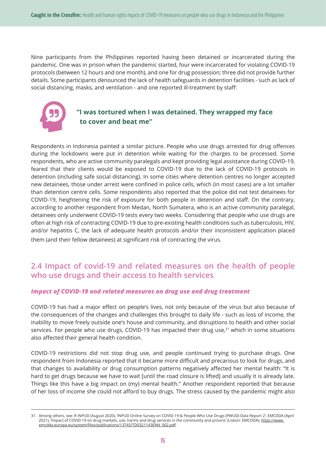Nine participants from the Philippines reported having been detained or incarcerated during the pandemic. One was in prison when the pandemic started, four were incarcerated for violating COVID-19 protocols (between 12 hours and one month), and one for drug possession; three did not provide further details. Some participants denounced the lack of health safeguards in detention facilities - such as lack of social distancing, masks, and ventilation - and one reported ill-treatment by staff:



## **"I was tortured when I was detained. They wrapped my face to cover and beat me"**

Respondents in Indonesia painted a similar picture. People who use drugs arrested for drug offences during the lockdowns were put in detention while waiting for the charges to be processed. Some respondents, who are active community paralegals and kept providing legal assistance during COVID-19, feared that their clients would be exposed to COVID-19 due to the lack of COVID-19 protocols in detention (including safe social distancing). In some cities where detention centres no longer accepted new detainees, those under arrest were confined in police cells, which (in most cases) are a lot smaller than detention centre cells. Some respondents also reported that the police did not test detainees for COVID-19, heightening the risk of exposure for both people in detention and staff. On the contrary, according to another respondent from Medan, North Sumatera, who is an active community paralegal, detainees only underwent COVID-19 tests every two weeks. Considering that people who use drugs are often at high risk of contracting COVID-19 due to pre-existing health conditions such as tuberculosis, HIV, and/or hepatitis C, the lack of adequate health protocols and/or their inconsistent application placed them (and their fellow detainees) at significant risk of contracting the virus.

## **2.4 Impact of covid-19 and related measures on the health of people who use drugs and their access to health services**

#### *Impact of COVID-19 and related measures on drug use and drug treatment*

COVID-19 has had a major effect on people's lives, not only because of the virus but also because of the consequences of the changes and challenges this brought to daily life - such as loss of income, the inability to move freely outside one's house and community, and disruptions to health and other social services. For people who use drugs, COVID-19 has impacted their drug use, $31$  which in some situations also affected their general health condition.

COVID-19 restrictions did not stop drug use, and people continued trying to purchase drugs. One respondent from Indonesia reported that it became more difficult and precarious to look for drugs, and that changes to availability or drug consumption patterns negatively affected her mental health: "It is hard to get drugs because we have to wait [until the road closure is lifted] and usually it is already late. Things like this have a big impact on (my) mental health." Another respondent reported that because of her loss of income she could not afford to buy drugs. The stress caused by the pandemic might also

<sup>31</sup> Among others, see: R INPUD (August 2020), 'INPUD Online Survey on COVID-19 & People Who Use Drugs (PWUD) Data Report 2'; EMCDDA (April 2021), 'Impact of COVID-19 on drug markets, use, harms and drug services in the community and prisons' (Lisbon: EMCDDA), https://www. emcdda.europa.eu/system/files/publications/13745/TD0321143ENN\_002.pdf.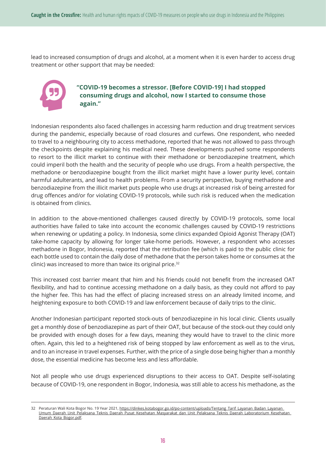lead to increased consumption of drugs and alcohol, at a moment when it is even harder to access drug treatment or other support that may be needed:



## **"COVID-19 becomes a stressor. [Before COVID-19] I had stopped consuming drugs and alcohol, now I started to consume those again."**

Indonesian respondents also faced challenges in accessing harm reduction and drug treatment services during the pandemic, especially because of road closures and curfews. One respondent, who needed to travel to a neighbouring city to access methadone, reported that he was not allowed to pass through the checkpoints despite explaining his medical need. These developments pushed some respondents to resort to the illicit market to continue with their methadone or benzodiazepine treatment, which could imperil both the health and the security of people who use drugs. From a health perspective, the methadone or benzodiazepine bought from the illicit market might have a lower purity level, contain harmful adulterants, and lead to health problems. From a security perspective, buying methadone and benzodiazepine from the illicit market puts people who use drugs at increased risk of being arrested for drug offences and/or for violating COVID-19 protocols, while such risk is reduced when the medication is obtained from clinics.

In addition to the above-mentioned challenges caused directly by COVID-19 protocols, some local authorities have failed to take into account the economic challenges caused by COVID-19 restrictions when renewing or updating a policy. In Indonesia, some clinics expanded Opioid Agonist Therapy (OAT) take-home capacity by allowing for longer take-home periods. However, a respondent who accesses methadone in Bogor, Indonesia, reported that the retribution fee (which is paid to the public clinic for each bottle used to contain the daily dose of methadone that the person takes home or consumes at the clinic) was increased to more than twice its original price.32

This increased cost barrier meant that him and his friends could not benefit from the increased OAT flexibility, and had to continue accessing methadone on a daily basis, as they could not afford to pay the higher fee. This has had the effect of placing increased stress on an already limited income, and heightening exposure to both COVID-19 and law enforcement because of daily trips to the clinic.

Another Indonesian participant reported stock-outs of benzodiazepine in his local clinic. Clients usually get a monthly dose of benzodiazepine as part of their OAT, but because of the stock-out they could only be provided with enough doses for a few days, meaning they would have to travel to the clinic more often. Again, this led to a heightened risk of being stopped by law enforcement as well as to the virus, and to an increase in travel expenses. Further, with the price of a single dose being higher than a monthly dose, the essential medicine has become less and less affordable.

Not all people who use drugs experienced disruptions to their access to OAT. Despite self-isolating because of COVID-19, one respondent in Bogor, Indonesia, was still able to access his methadone, as the

<sup>32</sup> Peraturan Wali Kota Bogor No. 19 Year 2021, https://dinkes.kotabogor.go.id/po-content/uploads/Tentang\_Tarif\_Layanan\_Badan\_Layanan\_ Umum\_Daerah\_Unit\_Pelaksana\_Teknis\_Daerah\_Pusat\_Kesehatan\_Masyarakat\_dan\_Unit\_Pelaksana\_Teknis\_Daerah\_Laboratorium\_Kesehatan\_ Daerah\_Kota\_Bogor.pdf.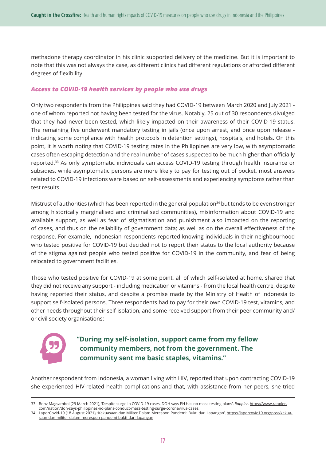methadone therapy coordinator in his clinic supported delivery of the medicine. But it is important to note that this was not always the case, as different clinics had different regulations or afforded different degrees of flexibility.

#### *Access to COVID-19 health services by people who use drugs*

Only two respondents from the Philippines said they had COVID-19 between March 2020 and July 2021 one of whom reported not having been tested for the virus. Notably, 25 out of 30 respondents divulged that they had never been tested, which likely impacted on their awareness of their COVID-19 status. The remaining five underwent mandatory testing in jails (once upon arrest, and once upon release indicating some compliance with health protocols in detention settings), hospitals, and hotels. On this point, it is worth noting that COVID-19 testing rates in the Philippines are very low, with asymptomatic cases often escaping detection and the real number of cases suspected to be much higher than officially reported.33 As only symptomatic individuals can access COVID-19 testing through health insurance or subsidies, while asymptomatic persons are more likely to pay for testing out of pocket, most answers related to COVID-19 infections were based on self-assessments and experiencing symptoms rather than test results.

Mistrust of authorities (which has been reported in the general population<sup>34</sup> but tends to be even stronger among historically marginalised and criminalised communities), misinformation about COVID-19 and available support, as well as fear of stigmatisation and punishment also impacted on the reporting of cases, and thus on the reliability of government data; as well as on the overall effectiveness of the response. For example, Indonesian respondents reported knowing individuals in their neighbourhood who tested positive for COVID-19 but decided not to report their status to the local authority because of the stigma against people who tested positive for COVID-19 in the community, and fear of being relocated to government facilities.

Those who tested positive for COVID-19 at some point, all of which self-isolated at home, shared that they did not receive any support - including medication or vitamins - from the local health centre, despite having reported their status, and despite a promise made by the Ministry of Health of Indonesia to support self-isolated persons. Three respondents had to pay for their own COVID-19 test, vitamins, and other needs throughout their self-isolation, and some received support from their peer community and/ or civil society organisations:



## **"During my self-isolation, support came from my fellow community members, not from the government. The community sent me basic staples, vitamins."**

Another respondent from Indonesia, a woman living with HIV, reported that upon contracting COVID-19 she experienced HIV-related health complications and that, with assistance from her peers, she tried

<sup>33</sup> Bonz Magsambol (29 March 2021), 'Despite surge in COVID-19 cases, DOH says PH has no mass testing plans', *Rappler*, https://www.rappler. com/nation/doh-says-philippines-no-plans-conduct-mass-testing-surge-coronavirus-cases.

<sup>34</sup> LaporCovid-19 (18 August 2021), 'Kekuasaan dan Militer Dalam Merespon Pandemi: Bukti dari Lapangan', https://laporcovid19.org/post/kekuasaan-dan-militer-dalam-merespon-pandemi-bukti-dari-lapangan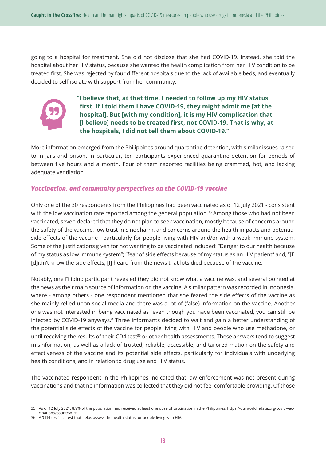going to a hospital for treatment. She did not disclose that she had COVID-19. Instead, she told the hospital about her HIV status, because she wanted the health complication from her HIV condition to be treated first. She was rejected by four different hospitals due to the lack of available beds, and eventually decided to self-isolate with support from her community:



**"I believe that, at that time, I needed to follow up my HIV status first. If I told them I have COVID-19, they might admit me [at the hospital]. But [with my condition], it is my HIV complication that [I believe] needs to be treated first, not COVID-19. That is why, at the hospitals, I did not tell them about COVID-19."**

More information emerged from the Philippines around quarantine detention, with similar issues raised to in jails and prison. In particular, ten participants experienced quarantine detention for periods of between five hours and a month. Four of them reported facilities being crammed, hot, and lacking adequate ventilation.

## *Vaccination, and community perspectives on the COVID-19 vaccine*

Only one of the 30 respondents from the Philippines had been vaccinated as of 12 July 2021 - consistent with the low vaccination rate reported among the general population.<sup>35</sup> Among those who had not been vaccinated, seven declared that they do not plan to seek vaccination, mostly because of concerns around the safety of the vaccine, low trust in Sinopharm, and concerns around the health impacts and potential side effects of the vaccine - particularly for people living with HIV and/or with a weak immune system. Some of the justifications given for not wanting to be vaccinated included: "Danger to our health because of my status as low immune system"; "fear of side effects because of my status as an HIV patient" and, "[I] [d]idn't know the side effects, [I] heard from the news that lots died because of the vaccine."

Notably, one Filipino participant revealed they did not know what a vaccine was, and several pointed at the news as their main source of information on the vaccine. A similar pattern was recorded in Indonesia, where - among others - one respondent mentioned that she feared the side effects of the vaccine as she mainly relied upon social media and there was a lot of (false) information on the vaccine. Another one was not interested in being vaccinated as "even though you have been vaccinated, you can still be infected by COVID-19 anyways." Three informants decided to wait and gain a better understanding of the potential side effects of the vaccine for people living with HIV and people who use methadone, or until receiving the results of their CD4 test<sup>36</sup> or other health assessments. These answers tend to suggest misinformation, as well as a lack of trusted, reliable, accessible, and tailored mation on the safety and effectiveness of the vaccine and its potential side effects, particularly for individuals with underlying health conditions, and in relation to drug use and HIV status.

The vaccinated respondent in the Philippines indicated that law enforcement was not present during vaccinations and that no information was collected that they did not feel comfortable providing. Of those

<sup>35</sup> As of 12 July 2021, 8.9% of the population had received at least one dose of vaccination in the Philippines: https://ourworldindata.org/covid-vaccinations?country=PHL.

<sup>36</sup> A 'CD4 test' is a test that helps assess the health status for people living with HIV.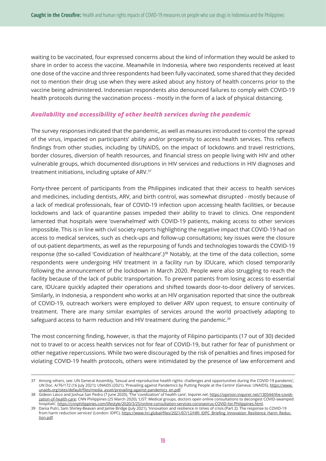waiting to be vaccinated, four expressed concerns about the kind of information they would be asked to share in order to access the vaccine. Meanwhile in Indonesia, where two respondents received at least one dose of the vaccine and three respondents had been fully vaccinated, some shared that they decided not to mention their drug use when they were asked about any history of health concerns prior to the vaccine being administered. Indonesian respondents also denounced failures to comply with COVID-19 health protocols during the vaccination process - mostly in the form of a lack of physical distancing.

### *Availability and accessibility of other health services during the pandemic*

The survey responses indicated that the pandemic, as well as measures introduced to control the spread of the virus, impacted on participants' ability and/or propensity to access health services. This reflects findings from other studies, including by UNAIDS, on the impact of lockdowns and travel restrictions, border closures, diversion of health resources, and financial stress on people living with HIV and other vulnerable groups, which documented disruptions in HIV services and reductions in HIV diagnoses and treatment initiations, including uptake of ARV.37

Forty-three percent of participants from the Philippines indicated that their access to health services and medicines, including dentists, ARV, and birth control, was somewhat disrupted - mostly because of a lack of medical professionals, fear of COVID-19 infection upon accessing health facilities, or because lockdowns and lack of quarantine passes impeded their ability to travel to clinics. One respondent lamented that hospitals were 'overwhelmed' with COVID-19 patients, making access to other services impossible. This is in line with civil society reports highlighting the negative impact that COVID-19 had on access to medical services, such as check-ups and follow-up consultations; key issues were the closure of out-patient departments, as well as the repurposing of funds and technologies towards the COVID-19 response (the so-called 'Covidization of healthcare'.)<sup>38</sup> Notably, at the time of the data collection, some respondents were undergoing HIV treatment in a facility run by IDUcare, which closed temporarily following the announcement of the lockdown in March 2020. People were also struggling to reach the facility because of the lack of public transportation. To prevent patients from losing access to essential care, IDUcare quickly adapted their operations and shifted towards door-to-door delivery of services. Similarly, in Indonesia, a respondent who works at an HIV organisation reported that since the outbreak of COVID-19, outreach workers were employed to deliver ARV upon request, to ensure continuity of treatment. There are many similar examples of services around the world proactively adapting to safeguard access to harm reduction and HIV treatment during the pandemic.<sup>39</sup>

The most concerning finding, however, is that the majority of Filipino participants (17 out of 30) decided not to travel to or access health services not for fear of COVID-19, but rather for fear of punishment or other negative repercussions. While two were discouraged by the risk of penalties and fines imposed for violating COVID-19 health protocols, others were intimidated by the presence of law enforcement and

<sup>37</sup> Among others, see: UN General Assembly, 'Sexual and reproductive health rights: challenges and opportunities during the COVID-19 pandemic', UN Doc. A/76/172 (16 July 2021); UNAIDS (2021), 'Prevailing against Pandemics by Putting People at the Centre' (Geneva: UNAIDS), https://www. unaids.org/sites/default/files/media\_asset/prevailing-against-pandemics\_en.pdf.

<sup>38</sup> Gideon Lasco and Joshua San Pedro (7 June 2020), 'The 'covidization' of health care', *Inquirer.net*, https://opinion.inquirer.net/130544/the-covidization-of-health-care; CNN Philippines (25 March 2020), 'LIST: Medical groups, doctors open online consultations to decongest COVID-swamped hospitals', https://cnnphilippines.com/lifestyle/2020/3/25/online-consultation-services-coronavirus-COVID-list-Philippines.html.

<sup>39</sup> Dania Putri, Sam Shirley-Beavan and Jamie Bridge (July 2021), 'Innovation and resilience in times of crisis (Part 2): The response to COVID-19 from harm reduction services' (London: IDPC), https://www.hri.global/files/2021/07/12/HRI\_IDPC\_Briefing\_Innovation\_Resilience\_Harm\_Reduction.pdf.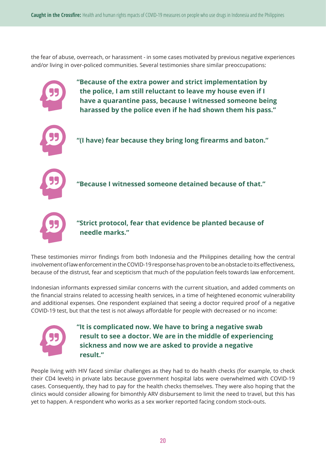the fear of abuse, overreach, or harassment - in some cases motivated by previous negative experiences and/or living in over-policed communities. Several testimonies share similar preoccupations:



These testimonies mirror findings from both Indonesia and the Philippines detailing how the central involvement of law enforcement in the COVID-19 response has proven to be an obstacle to its effectiveness, because of the distrust, fear and scepticism that much of the population feels towards law enforcement.

Indonesian informants expressed similar concerns with the current situation, and added comments on the financial strains related to accessing health services, in a time of heightened economic vulnerability and additional expenses. One respondent explained that seeing a doctor required proof of a negative COVID-19 test, but that the test is not always affordable for people with decreased or no income:



**"It is complicated now. We have to bring a negative swab result to see a doctor. We are in the middle of experiencing sickness and now we are asked to provide a negative result."**

People living with HIV faced similar challenges as they had to do health checks (for example, to check their CD4 levels) in private labs because government hospital labs were overwhelmed with COVID-19 cases. Consequently, they had to pay for the health checks themselves. They were also hoping that the clinics would consider allowing for bimonthly ARV disbursement to limit the need to travel, but this has yet to happen. A respondent who works as a sex worker reported facing condom stock-outs.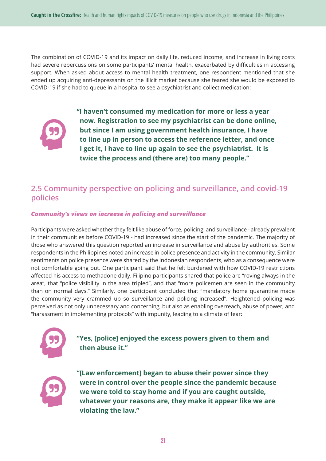The combination of COVID-19 and its impact on daily life, reduced income, and increase in living costs had severe repercussions on some participants' mental health, exacerbated by difficulties in accessing support. When asked about access to mental health treatment, one respondent mentioned that she ended up acquiring anti-depressants on the illicit market because she feared she would be exposed to COVID-19 if she had to queue in a hospital to see a psychiatrist and collect medication:



**"I haven't consumed my medication for more or less a year now. Registration to see my psychiatrist can be done online, but since I am using government health insurance, I have to line up in person to access the reference letter, and once I get it, I have to line up again to see the psychiatrist. It is twice the process and (there are) too many people."**

## **2.5 Community perspective on policing and surveillance, and covid-19 policies**

### *Community's views on increase in policing and surveillance*

Participants were asked whether they felt like abuse of force, policing, and surveillance - already prevalent in their communities before COVID-19 - had increased since the start of the pandemic. The majority of those who answered this question reported an increase in surveillance and abuse by authorities. Some respondents in the Philippines noted an increase in police presence and activity in the community. Similar sentiments on police presence were shared by the Indonesian respondents, who as a consequence were not comfortable going out. One participant said that he felt burdened with how COVID-19 restrictions affected his access to methadone daily. Filipino participants shared that police are "roving always in the area", that "police visibility in the area tripled", and that "more policemen are seen in the community than on normal days." Similarly, one participant concluded that "mandatory home quarantine made the community very crammed up so surveillance and policing increased". Heightened policing was perceived as not only unnecessary and concerning, but also as enabling overreach, abuse of power, and "harassment in implementing protocols" with impunity, leading to a climate of fear:



**"Yes, [police] enjoyed the excess powers given to them and then abuse it."**



**"[Law enforcement] began to abuse their power since they were in control over the people since the pandemic because we were told to stay home and if you are caught outside, whatever your reasons are, they make it appear like we are violating the law."**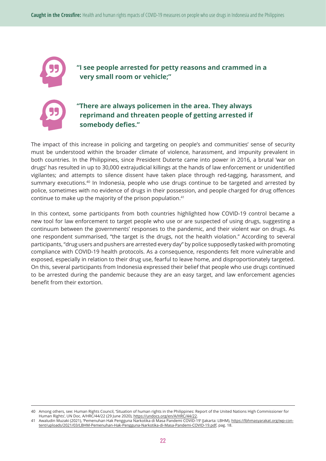

**"I see people arrested for petty reasons and crammed in a very small room or vehicle;"**



## **"There are always policemen in the area. They always reprimand and threaten people of getting arrested if somebody defies."**

The impact of this increase in policing and targeting on people's and communities' sense of security must be understood within the broader climate of violence, harassment, and impunity prevalent in both countries. In the Philippines, since President Duterte came into power in 2016, a brutal 'war on drugs' has resulted in up to 30,000 extrajudicial killings at the hands of law enforcement or unidentified vigilantes; and attempts to silence dissent have taken place through red-tagging, harassment, and summary executions.<sup>40</sup> In Indonesia, people who use drugs continue to be targeted and arrested by police, sometimes with no evidence of drugs in their possession, and people charged for drug offences continue to make up the majority of the prison population.41

In this context, some participants from both countries highlighted how COVID-19 control became a new tool for law enforcement to target people who use or are suspected of using drugs, suggesting a continuum between the governments' responses to the pandemic, and their violent war on drugs. As one respondent summarised, "the target is the drugs, not the health violation." According to several participants, "drug users and pushers are arrested every day" by police supposedly tasked with promoting compliance with COVID-19 health protocols. As a consequence, respondents felt more vulnerable and exposed, especially in relation to their drug use, fearful to leave home, and disproportionately targeted. On this, several participants from Indonesia expressed their belief that people who use drugs continued to be arrested during the pandemic because they are an easy target, and law enforcement agencies benefit from their extortion.

<sup>40</sup> Among others, see: Human Rights Council, 'Situation of human rights in the Philippines: Report of the United Nations High Commissioner for Human Rights', UN Doc. A/HRC/44/22 (29 June 2020), https://undocs.org/en/A/HRC/44/22.

Awaludin Muzaki (2021), 'Pemenuhan Hak Pengguna Narkotika di Masa Pandemi COVID-19' (Jakarta: LBHM), https://lbhmasyarakat.org/wp-content/uploads/2021/03/LBHM-Pemenuhan-Hak-Pengguna-Narkotika-di-Masa-Pandemi-COVID-19.pdf, pag. 18.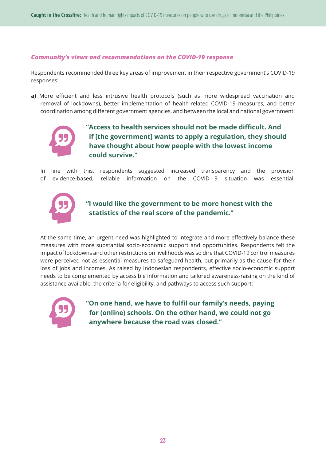### *Community's views and recommendations on the COVID-19 response*

Respondents recommended three key areas of improvement in their respective government's COVID-19 responses:

**a)** More efficient and less intrusive health protocols (such as more widespread vaccination and removal of lockdowns), better implementation of health-related COVID-19 measures, and better coordination among different government agencies, and between the local and national government:



**"Access to health services should not be made difficult. And if [the government] wants to apply a regulation, they should have thought about how people with the lowest income could survive."**

In line with this, respondents suggested increased transparency and the provision of evidence-based, reliable information on the COVID-19 situation was essential.



## **"I would like the government to be more honest with the statistics of the real score of the pandemic."**

At the same time, an urgent need was highlighted to integrate and more effectively balance these measures with more substantial socio-economic support and opportunities. Respondents felt the impact of lockdowns and other restrictions on livelihoods was so dire that COVID-19 control measures were perceived not as essential measures to safeguard health, but primarily as the cause for their loss of jobs and incomes. As raised by Indonesian respondents, effective socio-economic support needs to be complemented by accessible information and tailored awareness-raising on the kind of assistance available, the criteria for eligibility, and pathways to access such support:



**"On one hand, we have to fulfil our family's needs, paying for (online) schools. On the other hand, we could not go anywhere because the road was closed."**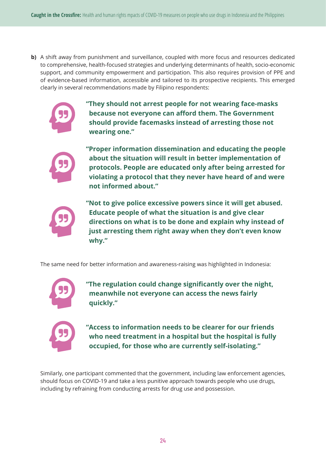**b)** A shift away from punishment and surveillance, coupled with more focus and resources dedicated to comprehensive, health-focused strategies and underlying determinants of health, socio-economic support, and community empowerment and participation. This also requires provision of PPE and of evidence-based information, accessible and tailored to its prospective recipients. This emerged clearly in several recommendations made by Filipino respondents:



**"They should not arrest people for not wearing face-masks because not everyone can afford them. The Government should provide facemasks instead of arresting those not wearing one."**



**"Proper information dissemination and educating the people about the situation will result in better implementation of protocols. People are educated only after being arrested for violating a protocol that they never have heard of and were not informed about."**



**"Not to give police excessive powers since it will get abused. Educate people of what the situation is and give clear directions on what is to be done and explain why instead of just arresting them right away when they don't even know why."**

The same need for better information and awareness-raising was highlighted in Indonesia:



**"The regulation could change significantly over the night, meanwhile not everyone can access the news fairly quickly."**



**"Access to information needs to be clearer for our friends who need treatment in a hospital but the hospital is fully occupied, for those who are currently self-isolating."**

Similarly, one participant commented that the government, including law enforcement agencies, should focus on COVID-19 and take a less punitive approach towards people who use drugs, including by refraining from conducting arrests for drug use and possession.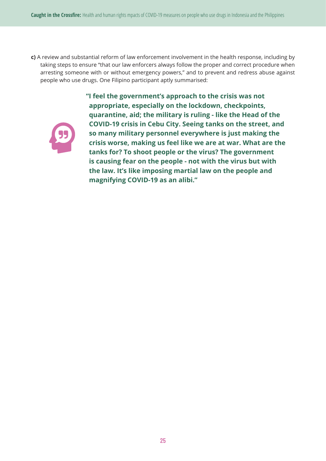**c)** A review and substantial reform of law enforcement involvement in the health response, including by taking steps to ensure "that our law enforcers always follow the proper and correct procedure when arresting someone with or without emergency powers," and to prevent and redress abuse against people who use drugs. One Filipino participant aptly summarised:



**"I feel the government's approach to the crisis was not appropriate, especially on the lockdown, checkpoints, quarantine, aid; the military is ruling - like the Head of the COVID-19 crisis in Cebu City. Seeing tanks on the street, and so many military personnel everywhere is just making the crisis worse, making us feel like we are at war. What are the tanks for? To shoot people or the virus? The government is causing fear on the people - not with the virus but with the law. It's like imposing martial law on the people and magnifying COVID-19 as an alibi."**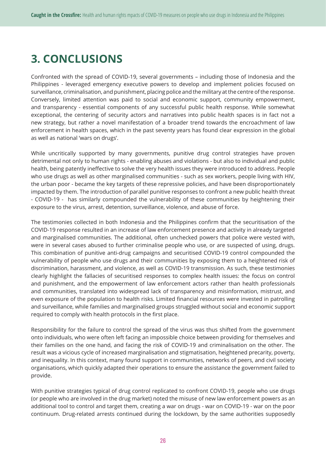## **3. CONCLUSIONS**

Confronted with the spread of COVID-19, several governments – including those of Indonesia and the Philippines - leveraged emergency executive powers to develop and implement policies focused on surveillance, criminalisation, and punishment, placing police and the military at the centre of the response. Conversely, limited attention was paid to social and economic support, community empowerment, and transparency - essential components of any successful public health response. While somewhat exceptional, the centering of security actors and narratives into public health spaces is in fact not a new strategy, but rather a novel manifestation of a broader trend towards the encroachment of law enforcement in health spaces, which in the past seventy years has found clear expression in the global as well as national 'wars on drugs'.

While uncritically supported by many governments, punitive drug control strategies have proven detrimental not only to human rights - enabling abuses and violations - but also to individual and public health, being patently ineffective to solve the very health issues they were introduced to address. People who use drugs as well as other marginalised communities - such as sex workers, people living with HIV, the urban poor - became the key targets of these repressive policies, and have been disproportionately impacted by them. The introduction of parallel punitive responses to confront a new public health threat - COVID-19 - has similarly compounded the vulnerability of these communities by heightening their exposure to the virus, arrest, detention, surveillance, violence, and abuse of force.

The testimonies collected in both Indonesia and the Philippines confirm that the securitisation of the COVID-19 response resulted in an increase of law enforcement presence and activity in already targeted and marginalised communities. The additional, often unchecked powers that police were vested with, were in several cases abused to further criminalise people who use, or are suspected of using, drugs. This combination of punitive anti-drug campaigns and securitised COVID-19 control compounded the vulnerability of people who use drugs and their communities by exposing them to a heightened risk of discrimination, harassment, and violence, as well as COVID-19 transmission. As such, these testimonies clearly highlight the fallacies of securitised responses to complex health issues: the focus on control and punishment, and the empowerment of law enforcement actors rather than health professionals and communities, translated into widespread lack of transparency and misinformation, mistrust, and even exposure of the population to health risks. Limited financial resources were invested in patrolling and surveillance, while families and marginalised groups struggled without social and economic support required to comply with health protocols in the first place.

Responsibility for the failure to control the spread of the virus was thus shifted from the government onto individuals, who were often left facing an impossible choice between providing for themselves and their families on the one hand, and facing the risk of COVID-19 and criminalisation on the other. The result was a vicious cycle of increased marginalisation and stigmatisation, heightened precarity, poverty, and inequality. In this context, many found support in communities, networks of peers, and civil society organisations, which quickly adapted their operations to ensure the assistance the government failed to provide.

With punitive strategies typical of drug control replicated to confront COVID-19, people who use drugs (or people who are involved in the drug market) noted the misuse of new law enforcement powers as an additional tool to control and target them, creating a war on drugs - war on COVID-19 - war on the poor continuum. Drug-related arrests continued during the lockdown, by the same authorities supposedly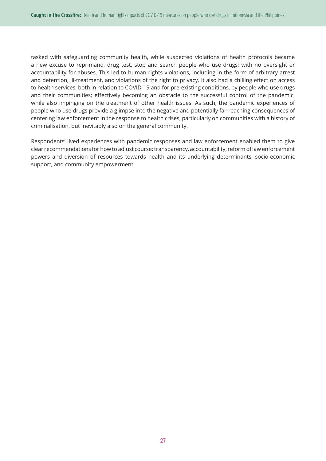tasked with safeguarding community health, while suspected violations of health protocols became a new excuse to reprimand, drug test, stop and search people who use drugs; with no oversight or accountability for abuses. This led to human rights violations, including in the form of arbitrary arrest and detention, ill-treatment, and violations of the right to privacy. It also had a chilling effect on access to health services, both in relation to COVID-19 and for pre-existing conditions, by people who use drugs and their communities; effectively becoming an obstacle to the successful control of the pandemic, while also impinging on the treatment of other health issues. As such, the pandemic experiences of people who use drugs provide a glimpse into the negative and potentially far-reaching consequences of centering law enforcement in the response to health crises, particularly on communities with a history of criminalisation, but inevitably also on the general community.

Respondents' lived experiences with pandemic responses and law enforcement enabled them to give clear recommendations for how to adjust course: transparency, accountability, reform of law enforcement powers and diversion of resources towards health and its underlying determinants, socio-economic support, and community empowerment.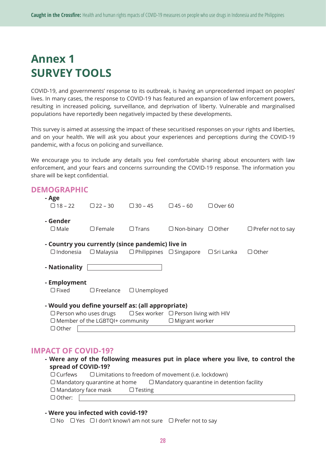## **Annex 1 SURVEY TOOLS**

COVID-19, and governments' response to its outbreak, is having an unprecedented impact on peoples' lives. In many cases, the response to COVID-19 has featured an expansion of law enforcement powers, resulting in increased policing, surveillance, and deprivation of liberty. Vulnerable and marginalised populations have reportedly been negatively impacted by these developments.

This survey is aimed at assessing the impact of these securitised responses on your rights and liberties, and on your health. We will ask you about your experiences and perceptions during the COVID-19 pandemic, with a focus on policing and surveillance.

We encourage you to include any details you feel comfortable sharing about encounters with law enforcement, and your fears and concerns surrounding the COVID-19 response. The information you share will be kept confidential.

| <b>DEMOGRAPHIC</b>                                |                                              |                                                     |                                                                              |                  |                          |
|---------------------------------------------------|----------------------------------------------|-----------------------------------------------------|------------------------------------------------------------------------------|------------------|--------------------------|
| - Age                                             |                                              |                                                     |                                                                              |                  |                          |
|                                                   | $\Box$ 18 – 22 $\Box$ 22 – 30 $\Box$ 30 – 45 |                                                     | $\Box$ 45 – 60                                                               | $\Box$ Over 60   |                          |
|                                                   |                                              |                                                     |                                                                              |                  |                          |
| - Gender                                          |                                              |                                                     |                                                                              |                  |                          |
| $\Box$ Male                                       | $\Box$ Female                                | $\Box$ Trans                                        | $\Box$ Non-binary $\Box$ Other                                               |                  | $\Box$ Prefer not to say |
|                                                   |                                              |                                                     |                                                                              |                  |                          |
| - Country you currently (since pandemic) live in  |                                              |                                                     |                                                                              |                  |                          |
| $\Box$ Indonesia                                  |                                              | $\Box$ Malaysia $\Box$ Philippines $\Box$ Singapore |                                                                              | $\Box$ Sri Lanka | $\Box$ Other             |
|                                                   |                                              |                                                     |                                                                              |                  |                          |
| - Nationality                                     |                                              |                                                     |                                                                              |                  |                          |
| - Employment                                      |                                              |                                                     |                                                                              |                  |                          |
|                                                   |                                              |                                                     |                                                                              |                  |                          |
| $\Box$ Fixed                                      |                                              | $\Box$ Freelance $\Box$ Unemployed                  |                                                                              |                  |                          |
| - Would you define yourself as: (all appropriate) |                                              |                                                     |                                                                              |                  |                          |
|                                                   |                                              |                                                     |                                                                              |                  |                          |
|                                                   |                                              |                                                     | $\Box$ Person who uses drugs $\Box$ Sex worker $\Box$ Person living with HIV |                  |                          |
|                                                   |                                              |                                                     | $\Box$ Member of the LGBTQI+ community $\Box$ Migrant worker                 |                  |                          |
| $\Box$ Other                                      |                                              |                                                     |                                                                              |                  |                          |

## **IMPACT OF COVID-19?**

| - Were any of the following measures put in place where you live, to control the |  |  |  |  |
|----------------------------------------------------------------------------------|--|--|--|--|
| spread of COVID-19?                                                              |  |  |  |  |

| $\Box$ Curfews             | $\Box$ Limitations to freedom of movement (i.e. lockdown) |                |                                                                                       |  |
|----------------------------|-----------------------------------------------------------|----------------|---------------------------------------------------------------------------------------|--|
|                            |                                                           |                | $\Box$ Mandatory quarantine at home $\Box$ Mandatory quarantine in detention facility |  |
| $\Box$ Mandatory face mask |                                                           | $\Box$ Testing |                                                                                       |  |
| $\Box$ Other:              |                                                           |                |                                                                                       |  |
|                            |                                                           |                |                                                                                       |  |

#### **- Were you infected with covid-19?**

□No □Yes □I don't know/I am not sure □Prefer not to say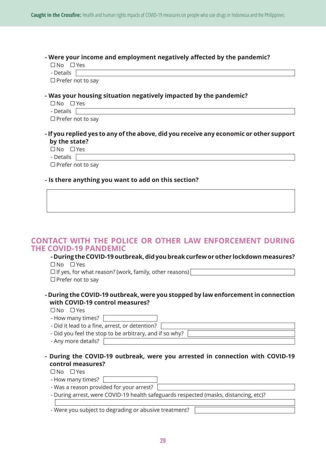#### **- Were your income and employment negatively affected by the pandemic?**

| ∩No | Yρς |
|-----|-----|

- Details

 $\Box$  Prefer not to say

### **- Was your housing situation negatively impacted by the pandemic?**

| $\Box$ No $\Box$ Yes     |
|--------------------------|
| - Details                |
| $\Box$ Prefer not to say |

## **- If you replied yes to any of the above, did you receive any economic or other support by the state?**

| $\Box$ No | <b>T</b> Yes |
|-----------|--------------|
| - Details |              |

 $\Box$  Prefer not to say

## **- Is there anything you want to add on this section?**

## **CONTACT WITH THE POLICE OR OTHER LAW ENFORCEMENT DURING THE COVID-19 PANDEMIC**

#### **- During the COVID-19 outbreak, did you break curfew or other lockdown measures?**  No Yes

 $\Box$  If yes, for what reason? (work, family, other reasons)  $\Box$  Prefer not to say

**- During the COVID-19 outbreak, were you stopped by law enforcement in connection with COVID-19 control measures?**

 $\Box$ No  $\Box$ Yes

| - How many times?                                       |  |
|---------------------------------------------------------|--|
| - Did it lead to a fine, arrest, or detention?          |  |
| - Did you feel the stop to be arbitrary, and if so why? |  |
| - Any more details?                                     |  |

**- During the COVID-19 outbreak, were you arrested in connection with COVID-19 control measures?** 

 $\Box$  No  $\Box$  Yes

- How many times?
- Was a reason provided for your arrest? [
- During arrest, were COVID-19 health safeguards respected (masks, distancing, etc)?

- Were you subject to degrading or abusive treatment?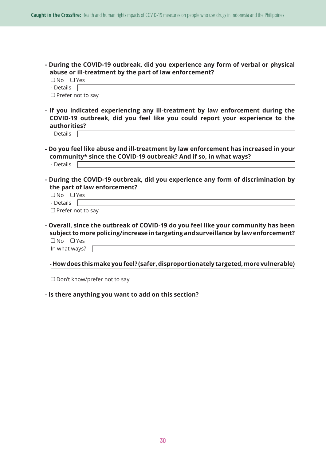**- During the COVID-19 outbreak, did you experience any form of verbal or physical abuse or ill-treatment by the part of law enforcement?** 

| ON⊡                      | J Yes |
|--------------------------|-------|
| - Details                |       |
| $\Box$ Prefer not to say |       |

- **If you indicated experiencing any ill-treatment by law enforcement during the COVID-19 outbreak, did you feel like you could report your experience to the authorities?** 
	- Details
- **Do you feel like abuse and ill-treatment by law enforcement has increased in your community\* since the COVID-19 outbreak? And if so, in what ways?**  - Details
	-
- **During the COVID-19 outbreak, did you experience any form of discrimination by the part of law enforcement?**

| l IN <sub>O</sub> | $\Box Y$ es |  |
|-------------------|-------------|--|
| - Details         |             |  |

 $\Box$  Prefer not to say

**- Overall, since the outbreak of COVID-19 do you feel like your community has been subject to more policing/increase in targeting and surveillance by law enforcement?** No Yes In what ways?

## **- How does this make you feel? (safer, disproportionately targeted, more vulnerable)**

□ Don't know/prefer not to say

#### **- Is there anything you want to add on this section?**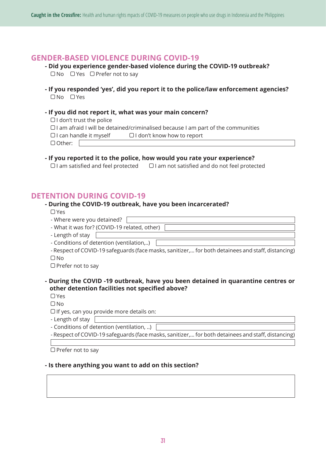## **GENDER-BASED VIOLENCE DURING COVID-19**

**- Did you experience gender-based violence during the COVID-19 outbreak?**   $\Box$  No  $\Box$  Yes  $\Box$  Prefer not to say

**- If you responded 'yes', did you report it to the police/law enforcement agencies?**   $\n *N*o *N Y es*\n$ 

#### **- If you did not report it, what was your main concern?**

 $\Box$  I don't trust the police

 $\Box$  I am afraid I will be detained/criminalised because I am part of the communities

- $\bigcap$  Other:  $\bigcap$
- **If you reported it to the police, how would you rate your experience?**   $\Box$  I am satisfied and feel protected  $\Box$  I am not satisfied and do not feel protected

## **DETENTION DURING COVID-19**

## **- During the COVID-19 outbreak, have you been incarcerated?**

Yes

| - Where were you detained?                   |  |  |
|----------------------------------------------|--|--|
| - What it was for? (COVID-19 related, other) |  |  |
| - Length of stay                             |  |  |
| - Conditions of detention (ventilation,)     |  |  |

- Respect of COVID-19 safeguards (face masks, sanitizer,… for both detainees and staff, distancing)  $\Box$  No

 $\Box$  Prefer not to say

### **- During the COVID -19 outbreak, have you been detained in quarantine centres or other detention facilities not specified above?**

Yes

 $\Box$ No

 $\Box$  If yes, can you provide more details on:

- Length of stay

- Conditions of detention (ventilation, ..)

- Respect of COVID-19 safeguards (face masks, sanitizer,… for both detainees and staff, distancing)

 $\Box$  Prefer not to say

#### **- Is there anything you want to add on this section?**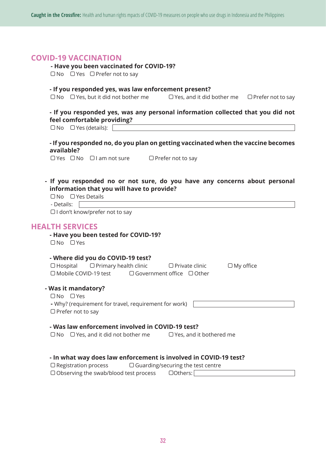## **COVID-19 VACCINATION**

#### **- Have you been vaccinated for COVID-19?**

 $\Box$  No  $\Box$  Yes  $\Box$  Prefer not to say

#### **- If you responded yes, was law enforcement present?**

 $\Box$  No  $\Box$  Yes, but it did not bother me  $\Box$  Yes, and it did bother me  $\Box$  Prefer not to say

## **- If you responded yes, was any personal information collected that you did not feel comfortable providing?**

No Yes (details):

### **- If you responded no, do you plan on getting vaccinated when the vaccine becomes available?**

 $\Box$  Yes  $\Box$  No  $\Box$  I am not sure  $\Box$  Prefer not to say

**- If you responded no or not sure, do you have any concerns about personal information that you will have to provide?**

|            | $\Box$ No $\Box$ Yes Details |
|------------|------------------------------|
| - Details: |                              |

□I don't know/prefer not to say

## **HEALTH SERVICES**

## **- Have you been tested for COVID-19?**

 $\Box$  No  $\Box$  Yes

#### **- Where did you do COVID-19 test?**

| $\Box$ Hospital        | $\Box$ Primary health clinic |                                       | $\Box$ Private clinic | $\Box$ My office |  |
|------------------------|------------------------------|---------------------------------------|-----------------------|------------------|--|
| □ Mobile COVID-19 test |                              | $\Box$ Government office $\Box$ Other |                       |                  |  |

## **- Was it mandatory?**

 $\Box$  No  $\Box$  Yes **-** Why? (requirement for travel, requirement for work)  $\Box$  Prefer not to say

#### **- Was law enforcement involved in COVID-19 test?**

 $\Box$  No  $\Box$  Yes, and it did not bother me  $\Box$  Yes, and it bothered me

#### **- In what way does law enforcement is involved in COVID-19 test?**

| $\Box$ Registration process                  | $\Box$ Guarding/securing the test centre |          |  |
|----------------------------------------------|------------------------------------------|----------|--|
| $\Box$ Observing the swab/blood test process |                                          | OOthers: |  |